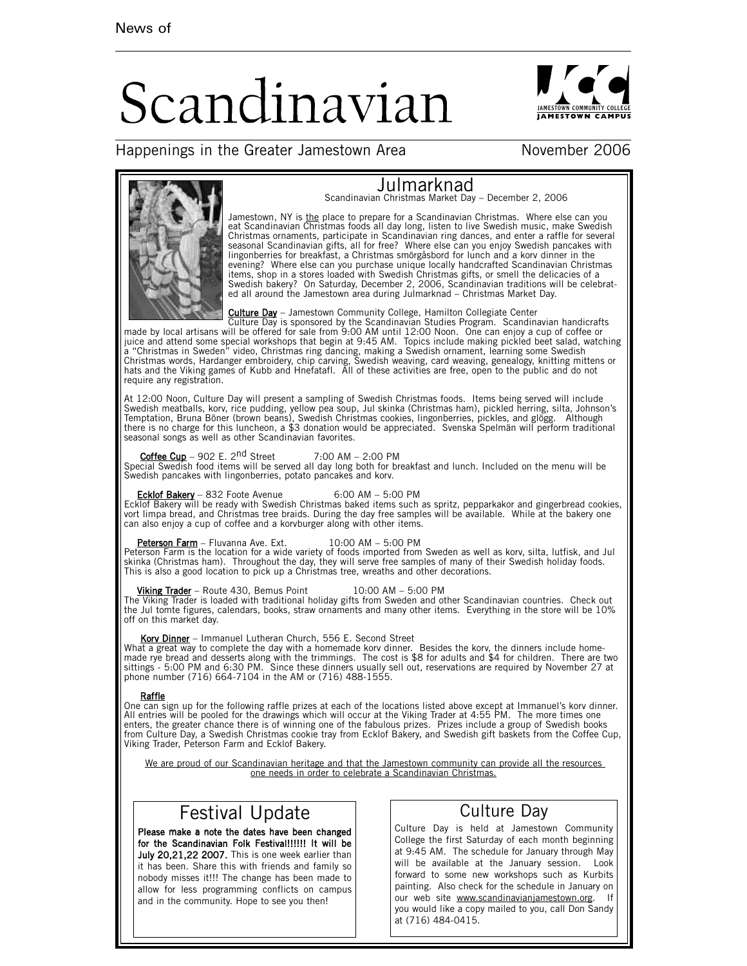# Scandinavian



## Happenings in the Greater Jamestown Area November 2006



Jamestown, NY is <u>the</u> place to prepare for a Scandinavian Christmas. Where else can you<br>eat Scandinavian Christmas foods all day long, listen to live Swedish music, make Swedish<br>Christmas ornaments, participate in Scandin evening? Where else can you purchase unique locally handcrafted Scandinavian Christmas<br>items, shop in a stores loaded with Swedish Christmas gifts, or smell the delicacies of a<br>Swedish bakery? On Saturday, December 2, 2006

Julmarknad Scandinavian Christmas Market Day – December 2, 2006

**Culture Day** - Jamestown Community College, Hamilton Collegiate Center<br>Culture Day is sponsored by the Scandinavian Studies Program. Scandinate<br>made by local artisans will be offered for sale from 9:00 AM until 12:00 Noon a "Christmas in Sweden" video, Christmas ring dancing, making a Swedish ornament, learning some Swedish<br>Christmas words, Hardanger embroidery, chip carving, Swedish weaving, card weaving, genealogy, knitting mittens or<br>hat require any registration.

At 12:00 Noon, Culture Day will present a sampling of Swedish Christmas foods. Items being served will include Swedish meatballs, korv, rice pudding, yellow pea soup, Jul skinka (Christmas ham), pickled herring, silta, Johnson's Temptation, Bruna Böner (brown beans), Swedish Christmas cookies, lingonberries, pickles, and glögg. Although there is no charge for this luncheon, a \$3 donation would be appreciated. Svenska Spelmän will perform traditional seasonal songs as well as other Scandinavian favorites.

Coffee Cup – 902 E. 2<sup>nd</sup> Street 7:00 AM – 2:00 PM<br>Special Swedish food items will be served all day long both for breakfast and lunch. Included on the menu will be Swedish pancakes with lingonberries, potato pancakes and korv.

Ecklof Bakery – 832 Foote Avenue 6:00 AM – 5:00 PM Ecklof Bakery will be ready with Swedish Christmas baked items such as spritz, pepparkakor and gingerbread cookies, vort limpa bread, and Christmas tree braids. During the day free samples will be available. While at the bakery one can also enjoy a cup of coffee and a korvburger along with other items.

## Peterson Farm - Fluvanna Ave. Ext. 10:00 AM - 5:00 PM

Peterson Farm is the location for a wide variety of foods imported from Sweden as well as korv, silta, lutfisk, and Jul skinka (Christmas ham). Throughout the day, they will serve free samples of many of their Swedish holiday foods.<br>This is also a good location to pick up a Christmas tree, wreaths and other decorations.

## Viking Trader – Route 430, Bemus Point 10:00 AM – 5:00 PM

The Viking Trader is loaded with traditional holiday gifts from Sweden and other Scandinavian countries. Check out<br>the Jul tomte figures, calendars, books, straw ornaments and many other items. Everything in the store will off on this market day.

Korv Dinner – Immanuel Lutheran Church, 556 E. Second Street<br>What a great way to complete the day with a homemade korv dinner. Besides the korv, the dinners include homemade rye bread and desserts along with the trimmings. The cost is \$8 for adults and \$4 for children. There are two<br>sittings - 5:00 PM and 6:30 PM. Since these dinners usually sell out, reservations are required by November phone number (716) 664-7104 in the AM or (716) 488-1555.

### Raffle

One can sign up for the following raffle prizes at each of the locations listed above except at Immanuel's korv dinner. All entries will be pooled for the drawings which will occur at the Viking Trader at 4:55 PM. The more times one<br>enters, the greater chance there is of winning one of the fabulous prizes. Prizes include a group of Swedish from Culture Day, a Swedish Christmas cookie tray from Ecklof Bakery, and Swedish gift baskets from the Coffee Cup, Viking Trader, Peterson Farm and Ecklof Bakery.

We are proud of our Scandinavian heritage and that the Jamestown community can provide all the resources one needs in order to celebrate a Scandinavian Christmas.

# Festival Update

Please make a note the dates have been changed for the Scandinavian Folk Festival!!!!!! It will be July 20,21,22 2007. This is one week earlier than it has been. Share this with friends and family so nobody misses it!!! The change has been made to allow for less programming conflicts on campus and in the community. Hope to see you then!

# Culture Day

Culture Day is held at Jamestown Community College the first Saturday of each month beginning at 9:45 AM. The schedule for January through May will be available at the January session. Look forward to some new workshops such as Kurbits painting. Also check for the schedule in January on our web site www.scandinavianjamestown.org. If you would like a copy mailed to you, call Don Sandy at (716) 484-0415.